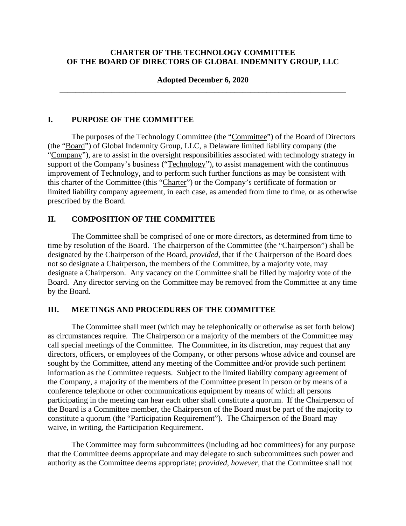## **CHARTER OF THE TECHNOLOGY COMMITTEE OF THE BOARD OF DIRECTORS OF GLOBAL INDEMNITY GROUP, LLC**

## **Adopted December 6, 2020**  \_\_\_\_\_\_\_\_\_\_\_\_\_\_\_\_\_\_\_\_\_\_\_\_\_\_\_\_\_\_\_\_\_\_\_\_\_\_\_\_\_\_\_\_\_\_\_\_\_\_\_\_\_\_\_\_\_\_\_\_\_\_\_\_\_\_\_\_\_\_\_\_

### **I. PURPOSE OF THE COMMITTEE**

The purposes of the Technology Committee (the "Committee") of the Board of Directors (the "Board") of Global Indemnity Group, LLC, a Delaware limited liability company (the "Company"), are to assist in the oversight responsibilities associated with technology strategy in support of the Company's business ("Technology"), to assist management with the continuous improvement of Technology, and to perform such further functions as may be consistent with this charter of the Committee (this "Charter") or the Company's certificate of formation or limited liability company agreement, in each case, as amended from time to time, or as otherwise prescribed by the Board.

### **II. COMPOSITION OF THE COMMITTEE**

The Committee shall be comprised of one or more directors, as determined from time to time by resolution of the Board. The chairperson of the Committee (the "Chairperson") shall be designated by the Chairperson of the Board, *provided*, that if the Chairperson of the Board does not so designate a Chairperson, the members of the Committee, by a majority vote, may designate a Chairperson. Any vacancy on the Committee shall be filled by majority vote of the Board. Any director serving on the Committee may be removed from the Committee at any time by the Board.

#### **III. MEETINGS AND PROCEDURES OF THE COMMITTEE**

The Committee shall meet (which may be telephonically or otherwise as set forth below) as circumstances require. The Chairperson or a majority of the members of the Committee may call special meetings of the Committee. The Committee, in its discretion, may request that any directors, officers, or employees of the Company, or other persons whose advice and counsel are sought by the Committee, attend any meeting of the Committee and/or provide such pertinent information as the Committee requests. Subject to the limited liability company agreement of the Company, a majority of the members of the Committee present in person or by means of a conference telephone or other communications equipment by means of which all persons participating in the meeting can hear each other shall constitute a quorum. If the Chairperson of the Board is a Committee member, the Chairperson of the Board must be part of the majority to constitute a quorum (the "Participation Requirement"). The Chairperson of the Board may waive, in writing, the Participation Requirement.

The Committee may form subcommittees (including ad hoc committees) for any purpose that the Committee deems appropriate and may delegate to such subcommittees such power and authority as the Committee deems appropriate; *provided*, *however*, that the Committee shall not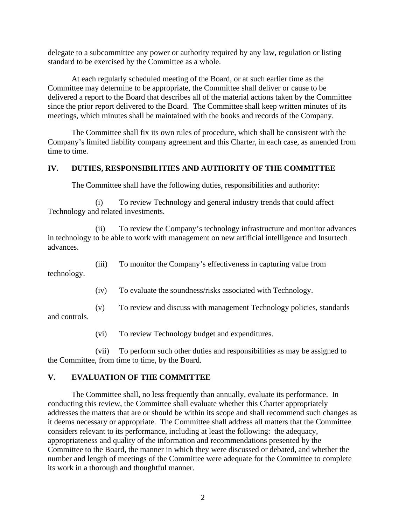delegate to a subcommittee any power or authority required by any law, regulation or listing standard to be exercised by the Committee as a whole.

At each regularly scheduled meeting of the Board, or at such earlier time as the Committee may determine to be appropriate, the Committee shall deliver or cause to be delivered a report to the Board that describes all of the material actions taken by the Committee since the prior report delivered to the Board. The Committee shall keep written minutes of its meetings, which minutes shall be maintained with the books and records of the Company.

The Committee shall fix its own rules of procedure, which shall be consistent with the Company's limited liability company agreement and this Charter, in each case, as amended from time to time.

### **IV. DUTIES, RESPONSIBILITIES AND AUTHORITY OF THE COMMITTEE**

The Committee shall have the following duties, responsibilities and authority:

(i) To review Technology and general industry trends that could affect Technology and related investments.

(ii) To review the Company's technology infrastructure and monitor advances in technology to be able to work with management on new artificial intelligence and Insurtech advances.

(iii) To monitor the Company's effectiveness in capturing value from

technology.

(iv) To evaluate the soundness/risks associated with Technology.

(v) To review and discuss with management Technology policies, standards

and controls.

(vi) To review Technology budget and expenditures.

(vii) To perform such other duties and responsibilities as may be assigned to the Committee, from time to time, by the Board.

### **V. EVALUATION OF THE COMMITTEE**

The Committee shall, no less frequently than annually, evaluate its performance. In conducting this review, the Committee shall evaluate whether this Charter appropriately addresses the matters that are or should be within its scope and shall recommend such changes as it deems necessary or appropriate. The Committee shall address all matters that the Committee considers relevant to its performance, including at least the following: the adequacy, appropriateness and quality of the information and recommendations presented by the Committee to the Board, the manner in which they were discussed or debated, and whether the number and length of meetings of the Committee were adequate for the Committee to complete its work in a thorough and thoughtful manner.